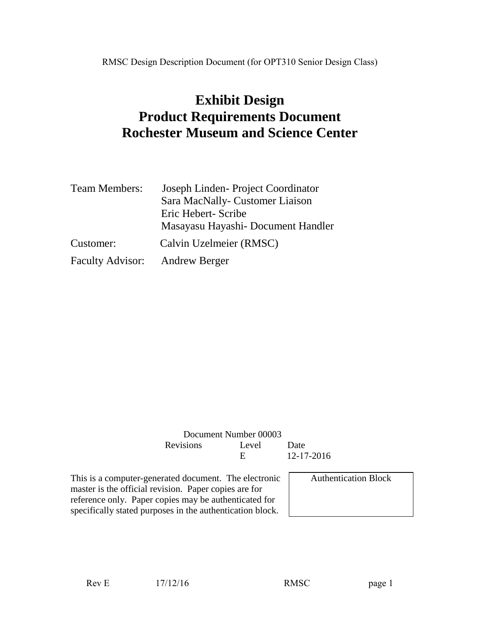# **Exhibit Design Product Requirements Document Rochester Museum and Science Center**

| <b>Team Members:</b>           | Joseph Linden-Project Coordinator   |
|--------------------------------|-------------------------------------|
|                                | Sara MacNally- Customer Liaison     |
|                                | Eric Hebert- Scribe                 |
|                                | Masayasu Hayashi - Document Handler |
| Customer:                      | Calvin Uzelmeier (RMSC)             |
| Faculty Advisor: Andrew Berger |                                     |

| Document Number 00003 |       |            |
|-----------------------|-------|------------|
| <b>Revisions</b>      | Level | Date       |
|                       | н.    | 12-17-2016 |
|                       |       |            |

This is a computer-generated document. The electronic master is the official revision. Paper copies are for reference only. Paper copies may be authenticated for specifically stated purposes in the authentication block.

Authentication Block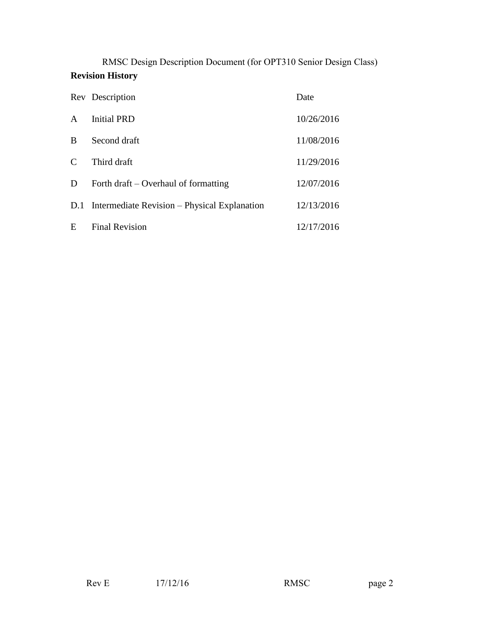RMSC Design Description Document (for OPT310 Senior Design Class) **Revision History**

|                             | Rev Description                                  | Date       |
|-----------------------------|--------------------------------------------------|------------|
| $\mathsf{A}$                | <b>Initial PRD</b>                               | 10/26/2016 |
| B                           | Second draft                                     | 11/08/2016 |
| $\mathcal{C}_{\mathcal{C}}$ | Third draft                                      | 11/29/2016 |
| D                           | Forth draft – Overhaul of formatting             | 12/07/2016 |
|                             | D.1 Intermediate Revision – Physical Explanation | 12/13/2016 |
| E                           | <b>Final Revision</b>                            | 12/17/2016 |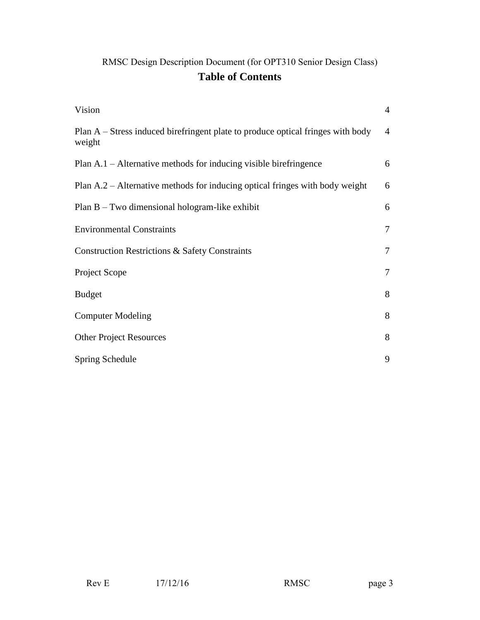## RMSC Design Description Document (for OPT310 Senior Design Class) **Table of Contents**

| Vision                                                                                    | $\overline{4}$ |
|-------------------------------------------------------------------------------------------|----------------|
| Plan A – Stress induced birefringent plate to produce optical fringes with body<br>weight | $\overline{4}$ |
| Plan A.1 – Alternative methods for inducing visible birefringence                         | 6              |
| Plan A.2 – Alternative methods for inducing optical fringes with body weight              | 6              |
| Plan $B$ – Two dimensional hologram-like exhibit                                          | 6              |
| <b>Environmental Constraints</b>                                                          | $\overline{7}$ |
| <b>Construction Restrictions &amp; Safety Constraints</b>                                 | $\tau$         |
| Project Scope                                                                             | $\tau$         |
| <b>Budget</b>                                                                             | 8              |
| <b>Computer Modeling</b>                                                                  | 8              |
| <b>Other Project Resources</b>                                                            | 8              |
| Spring Schedule                                                                           | 9              |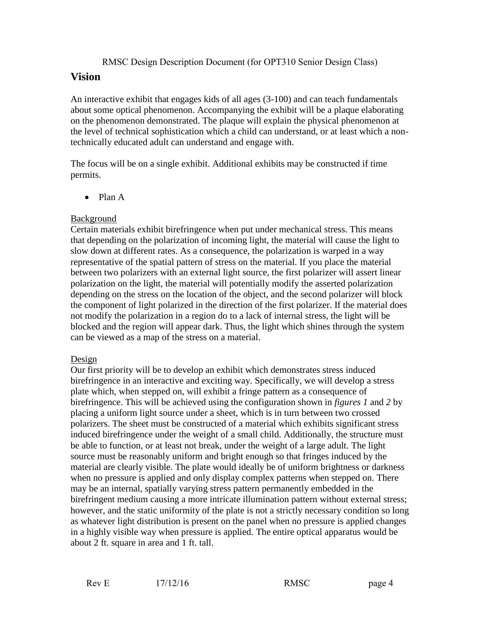#### **Vision**

An interactive exhibit that engages kids of all ages (3-100) and can teach fundamentals about some optical phenomenon. Accompanying the exhibit will be a plaque elaborating on the phenomenon demonstrated. The plaque will explain the physical phenomenon at the level of technical sophistication which a child can understand, or at least which a nontechnically educated adult can understand and engage with.

The focus will be on a single exhibit. Additional exhibits may be constructed if time permits.

• Plan A

#### Background

Certain materials exhibit birefringence when put under mechanical stress. This means that depending on the polarization of incoming light, the material will cause the light to slow down at different rates. As a consequence, the polarization is warped in a way representative of the spatial pattern of stress on the material. If you place the material between two polarizers with an external light source, the first polarizer will assert linear polarization on the light, the material will potentially modify the asserted polarization depending on the stress on the location of the object, and the second polarizer will block the component of light polarized in the direction of the first polarizer. If the material does not modify the polarization in a region do to a lack of internal stress, the light will be blocked and the region will appear dark. Thus, the light which shines through the system can be viewed as a map of the stress on a material.

#### Design

Our first priority will be to develop an exhibit which demonstrates stress induced birefringence in an interactive and exciting way. Specifically, we will develop a stress plate which, when stepped on, will exhibit a fringe pattern as a consequence of birefringence. This will be achieved using the configuration shown in *figures 1* and *2* by placing a uniform light source under a sheet, which is in turn between two crossed polarizers. The sheet must be constructed of a material which exhibits significant stress induced birefringence under the weight of a small child. Additionally, the structure must be able to function, or at least not break, under the weight of a large adult. The light source must be reasonably uniform and bright enough so that fringes induced by the material are clearly visible. The plate would ideally be of uniform brightness or darkness when no pressure is applied and only display complex patterns when stepped on. There may be an internal, spatially varying stress pattern permanently embedded in the birefringent medium causing a more intricate illumination pattern without external stress; however, and the static uniformity of the plate is not a strictly necessary condition so long as whatever light distribution is present on the panel when no pressure is applied changes in a highly visible way when pressure is applied. The entire optical apparatus would be about 2 ft. square in area and 1 ft. tall.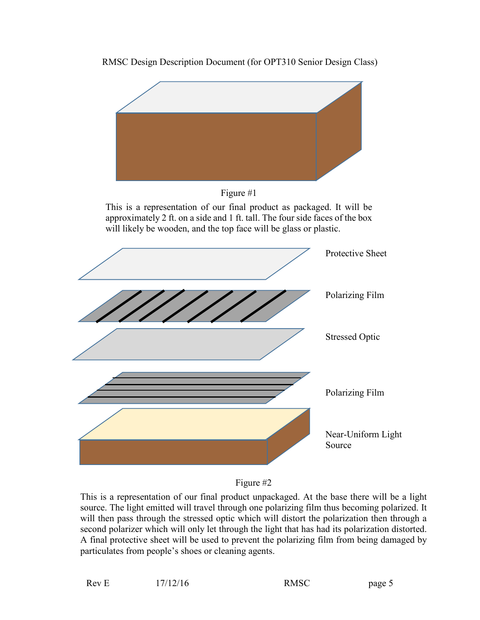



This is a representation of our final product unpackaged. At the base there will be a light source. The light emitted will travel through one polarizing film thus becoming polarized. It will then pass through the stressed optic which will distort the polarization then through a second polarizer which will only let through the light that has had its polarization distorted. A final protective sheet will be used to prevent the polarizing film from being damaged by particulates from people's shoes or cleaning agents.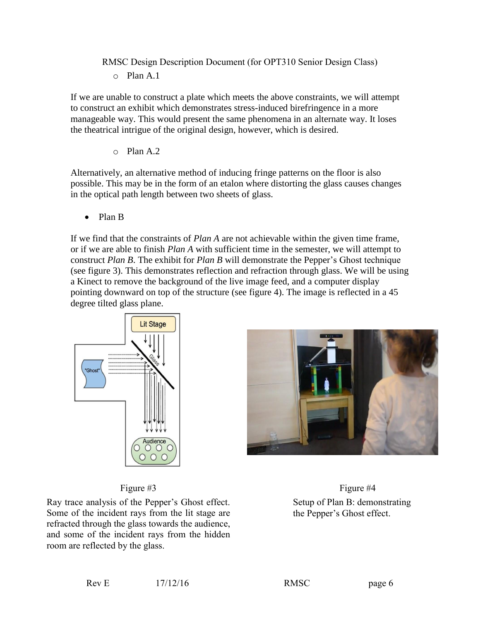If we are unable to construct a plate which meets the above constraints, we will attempt to construct an exhibit which demonstrates stress-induced birefringence in a more manageable way. This would present the same phenomena in an alternate way. It loses the theatrical intrigue of the original design, however, which is desired.

o Plan A.2

Alternatively, an alternative method of inducing fringe patterns on the floor is also possible. This may be in the form of an etalon where distorting the glass causes changes in the optical path length between two sheets of glass.

Plan B

If we find that the constraints of *Plan A* are not achievable within the given time frame, or if we are able to finish *Plan A* with sufficient time in the semester, we will attempt to construct *Plan B*. The exhibit for *Plan B* will demonstrate the Pepper's Ghost technique (see figure 3). This demonstrates reflection and refraction through glass. We will be using a Kinect to remove the background of the live image feed, and a computer display pointing downward on top of the structure (see figure 4). The image is reflected in a 45 degree tilted glass plane.



#### Figure #3

Ray trace analysis of the Pepper's Ghost effect. Some of the incident rays from the lit stage are refracted through the glass towards the audience, and some of the incident rays from the hidden room are reflected by the glass.

Figure #4 Setup of Plan B: demonstrating the Pepper's Ghost effect.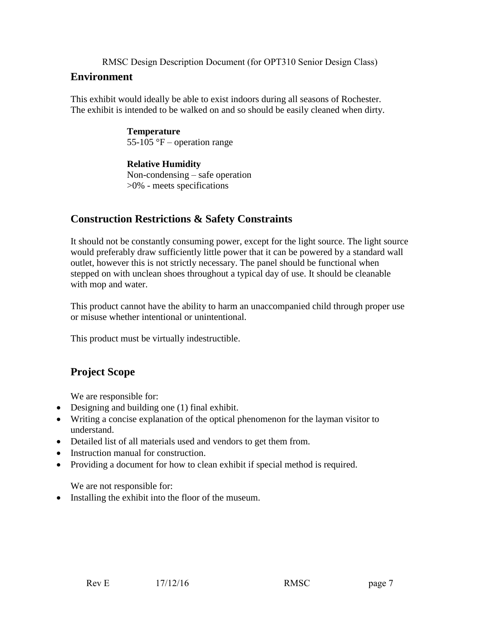### **Environment**

This exhibit would ideally be able to exist indoors during all seasons of Rochester. The exhibit is intended to be walked on and so should be easily cleaned when dirty.

> **Temperature** 55-105 °F – operation range

**Relative Humidity** Non-condensing – safe operation >0% - meets specifications

## **Construction Restrictions & Safety Constraints**

It should not be constantly consuming power, except for the light source. The light source would preferably draw sufficiently little power that it can be powered by a standard wall outlet, however this is not strictly necessary. The panel should be functional when stepped on with unclean shoes throughout a typical day of use. It should be cleanable with mop and water.

This product cannot have the ability to harm an unaccompanied child through proper use or misuse whether intentional or unintentional.

This product must be virtually indestructible.

## **Project Scope**

We are responsible for:

- Designing and building one (1) final exhibit.
- Writing a concise explanation of the optical phenomenon for the layman visitor to understand.
- Detailed list of all materials used and vendors to get them from.
- Instruction manual for construction.
- Providing a document for how to clean exhibit if special method is required.

We are not responsible for:

Installing the exhibit into the floor of the museum.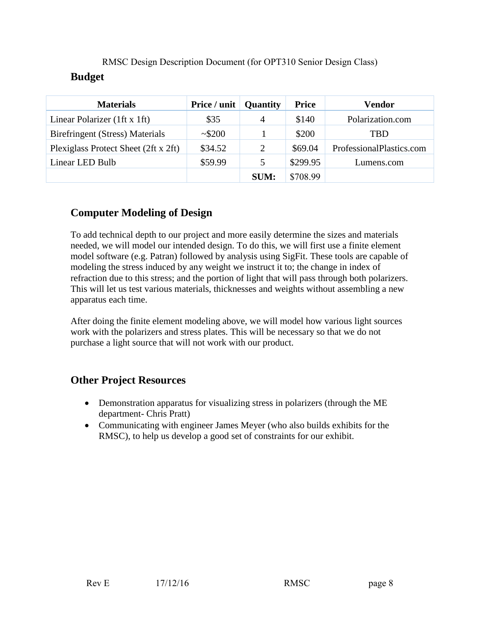| <b>Materials</b>                       | Price / unit $\vert$ | <b>Quantity</b> | <b>Price</b> | Vendor                   |
|----------------------------------------|----------------------|-----------------|--------------|--------------------------|
| Linear Polarizer (1ft x 1ft)           | \$35                 | $\overline{4}$  | \$140        | Polarization.com         |
| <b>Birefringent (Stress) Materials</b> | ~1.5200              |                 | \$200        | TBD                      |
| Plexiglass Protect Sheet (2ft x 2ft)   | \$34.52              | 2               | \$69.04      | ProfessionalPlastics.com |
| Linear LED Bulb                        | \$59.99              | 5               | \$299.95     | Lumens.com               |
|                                        |                      | <b>SUM:</b>     | \$708.99     |                          |

## **Computer Modeling of Design**

To add technical depth to our project and more easily determine the sizes and materials needed, we will model our intended design. To do this, we will first use a finite element model software (e.g. Patran) followed by analysis using SigFit. These tools are capable of modeling the stress induced by any weight we instruct it to; the change in index of refraction due to this stress; and the portion of light that will pass through both polarizers. This will let us test various materials, thicknesses and weights without assembling a new apparatus each time.

After doing the finite element modeling above, we will model how various light sources work with the polarizers and stress plates. This will be necessary so that we do not purchase a light source that will not work with our product.

## **Other Project Resources**

- Demonstration apparatus for visualizing stress in polarizers (through the ME department- Chris Pratt)
- Communicating with engineer James Meyer (who also builds exhibits for the RMSC), to help us develop a good set of constraints for our exhibit.